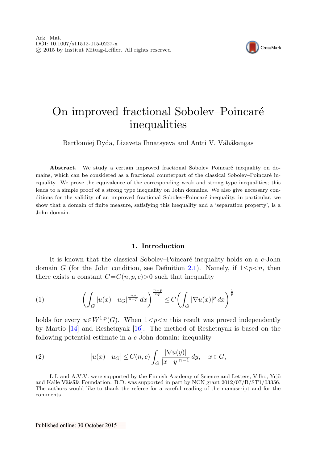

# On improved fractional Sobolev–Poincaré inequalities

Bartłomiej Dyda, Lizaveta Ihnatsyeva and Antti V. Vähäkangas

**Abstract.** We study a certain improved fractional Sobolev–Poincaré inequality on domains, which can be considered as a fractional counterpart of the classical Sobolev–Poincaré inequality. We prove the equivalence of the corresponding weak and strong type inequalities; this leads to a simple proof of a strong type inequality on John domains. We also give necessary conditions for the validity of an improved fractional Sobolev–Poincaré inequality, in particular, we show that a domain of finite measure, satisfying this inequality and a 'separation property', is a John domain.

## **1. Introduction**

<span id="page-0-0"></span>It is known that the classical Sobolev–Poincaré inequality holds on a  $c$ -John domain G (for the John condition, see Definition [2.1\)](#page-2-0). Namely, if  $1 \leq p \leq n$ , then there exists a constant  $C=C(n, p, c)$  such that inequality

<span id="page-0-1"></span>(1) 
$$
\left(\int_G |u(x)-u_G|^{\frac{np}{n-p}} dx\right)^{\frac{n-p}{np}} \leq C \left(\int_G |\nabla u(x)|^p dx\right)^{\frac{1}{p}}
$$

holds for every  $u \in W^{1,p}(G)$ . When  $1 < p < n$  this result was proved independently by Martio [[14\]](#page-16-0) and Reshetnyak [[16\]](#page-17-0). The method of Reshetnyak is based on the following potential estimate in a c-John domain: inequality

(2) 
$$
|u(x) - u_G| \le C(n, c) \int_G \frac{|\nabla u(y)|}{|x - y|^{n-1}} dy, \quad x \in G,
$$

L.I. and A.V.V. were supported by the Finnish Academy of Science and Letters, Vilho, Yrjö and Kalle Väisälä Foundation. B.D. was supported in part by NCN grant  $2012/07/B/ST1/03356$ . The authors would like to thank the referee for a careful reading of the manuscript and for the comments.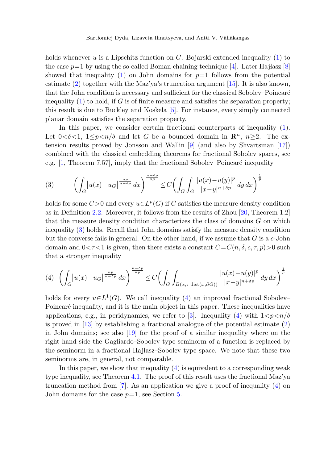holds whenever u is a Lipschitz function on  $G$ . Bojarski extended inequality ([1\)](#page-0-0) to the case  $p=1$  by using the so called Boman chaining technique [\[4](#page-16-1)]. Later Hajłasz [[8\]](#page-16-2) showed that inequality [\(1](#page-0-0)) on John domains for  $p=1$  follows from the potential estimate  $(2)$  $(2)$  together with the Maz'ya's truncation argument [\[15](#page-16-3)]. It is also known, that the John condition is necessary and sufficient for the classical Sobolev–Poincaré inequality  $(1)$  $(1)$  to hold, if G is of finite measure and satisfies the separation property; this result is due to Buckley and Koskela [\[5](#page-16-4)]. For instance, every simply connected planar domain satisfies the separation property.

<span id="page-1-0"></span>In this paper, we consider certain fractional counterparts of inequality [\(1\)](#page-0-0). Let  $0 < \delta < 1$ ,  $1 \leq p \leq n/\delta$  and let G be a bounded domain in  $\mathbb{R}^n$ ,  $n \geq 2$ . The extension results proved by Jonsson and Wallin [[9\]](#page-16-5) (and also by Shvartsman [\[17\]](#page-17-1)) combined with the classical embedding theorems for fractional Sobolev spaces, see e.g.  $[1,$  $[1,$  Theorem 7.57, imply that the fractional Sobolev–Poincaré inequality

$$
(3) \qquad \left(\int_G \left|u(x) - u_G\right|^{\frac{np}{n-\delta p}} dx\right)^{\frac{n-\delta p}{np}} \le C \left(\int_G \int_G \frac{|u(x) - u(y)|^p}{|x - y|^{n+\delta p}} dy dx\right)^{\frac{1}{p}}
$$

<span id="page-1-1"></span>holds for some  $C>0$  and every  $u\in L^p(G)$  if G satisfies the measure density condition as in Definition [2.2](#page-3-0). Moreover, it follows from the results of Zhou [[20,](#page-17-2) Theorem 1.2] that the measure density condition characterizes the class of domains G on which inequality ([3\)](#page-1-0) holds. Recall that John domains satisfy the measure density condition but the converse fails in general. On the other hand, if we assume that  $G$  is a c-John domain and  $0 < \tau < 1$  is given, then there exists a constant  $C = C(n, \delta, c, \tau, p) > 0$  such that a stronger inequality

$$
(4) \quad \left(\int_G |u(x)-u_G|^{\frac{np}{n-\delta p}} dx\right)^{\frac{n-\delta p}{np}} \le C \left(\int_G \int_{B(x,\tau \, \mathrm{dist}(x,\partial G))} \frac{|u(x)-u(y)|^p}{|x-y|^{n+\delta p}} dy dx\right)^{\frac{1}{p}}
$$

holds for every  $u \in L^1(G)$ . We call inequality ([4\)](#page-1-1) an improved fractional Sobolev– Poincaré inequality, and it is the main object in this paper. These inequalities have applications, e.g., in peridynamics, we refer to [[3\]](#page-16-7). Inequality ([4\)](#page-1-1) with  $1 < p < n/\delta$ is proved in  $[13]$  $[13]$  by establishing a fractional analogue of the potential estimate  $(2)$  $(2)$ in John domains; see also [\[19](#page-17-3)] for the proof of a similar inequality where on the right hand side the Gagliardo–Sobolev type seminorm of a function is replaced by the seminorm in a fractional Hajlasz–Sobolev type space. We note that these two seminorms are, in general, not comparable.

In this paper, we show that inequality  $(4)$  $(4)$  is equivalent to a corresponding weak type inequality, see Theorem [4.1.](#page-7-0) The proof of this result uses the fractional Maz'ya truncation method from [[7\]](#page-16-9). As an application we give a proof of inequality ([4\)](#page-1-1) on John domains for the case  $p=1$ , see Section [5](#page-9-0).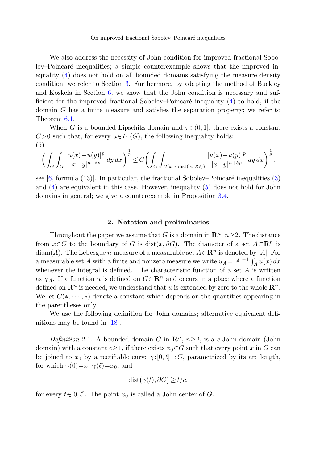<span id="page-2-1"></span>We also address the necessity of John condition for improved fractional Sobolev–Poincaré inequalities; a simple counterexample shows that the improved inequality ([4\)](#page-1-1) does not hold on all bounded domains satisfying the measure density condition, we refer to Section [3](#page-4-0). Furthermore, by adapting the method of Buckley and Koskela in Section [6](#page-11-0), we show that the John condition is necessary and sufficient for the improved fractional Sobolev–Poincaré inequality  $(4)$  $(4)$  to hold, if the domain G has a finite measure and satisfies the separation property; we refer to Theorem [6.1](#page-11-1).

When G is a bounded Lipschitz domain and  $\tau \in (0, 1]$ , there exists a constant  $C>0$  such that, for every  $u\in L^1(G)$ , the following inequality holds: (5)

$$
\left(\int_G\int_G\frac{|u(x)-u(y)|^p}{|x-y|^{n+\delta p}}\,dy\,dx\right)^{\frac{1}{p}}\leq C\left(\int_G\int_{B(x,\tau\,\mathrm{dist}(x,\partial G))}\frac{|u(x)-u(y)|^p}{|x-y|^{n+\delta p}}\,dy\,dx\right)^{\frac{1}{p}},
$$

see  $[6,$  $[6,$  formula  $(13)$  $(13)$ . In particular, the fractional Sobolev–Poincaré inequalities  $(3)$ and ([4\)](#page-1-1) are equivalent in this case. However, inequality [\(5](#page-2-1)) does not hold for John domains in general; we give a counterexample in Proposition [3.4](#page-6-0).

### **2. Notation and preliminaries**

Throughout the paper we assume that G is a domain in  $\mathbb{R}^n$ ,  $n\geq 2$ . The distance from  $x \in G$  to the boundary of G is dist $(x, \partial G)$ . The diameter of a set  $A \subset \mathbb{R}^n$  is diam(A). The Lebesgue *n*-measure of a measurable set  $A \subset \mathbb{R}^n$  is denoted by |A|. For a measurable set A with a finite and nonzero measure we write  $u_A = |A|^{-1} \int_A u(x) dx$ whenever the integral is defined. The characteristic function of a set  $A$  is written as  $\chi_A$ . If a function u is defined on  $G \subset \mathbb{R}^n$  and occurs in a place where a function defined on  $\mathbb{R}^n$  is needed, we understand that u is extended by zero to the whole  $\mathbb{R}^n$ . We let  $C(*, \dots, *)$  denote a constant which depends on the quantities appearing in the parentheses only.

<span id="page-2-0"></span>We use the following definition for John domains; alternative equivalent definitions may be found in [[18\]](#page-17-4).

Definition 2.1. A bounded domain G in  $\mathbb{R}^n$ ,  $n \geq 2$ , is a c-John domain (John domain) with a constant  $c \geq 1$ , if there exists  $x_0 \in G$  such that every point x in G can be joined to  $x_0$  by a rectifiable curve  $\gamma:[0,\ell] \to G$ , parametrized by its arc length, for which  $\gamma(0)=x, \gamma(\ell)=x_0$ , and

$$
dist(\gamma(t), \partial G) \ge t/c,
$$

for every  $t\in[0,\ell]$ . The point  $x_0$  is called a John center of G.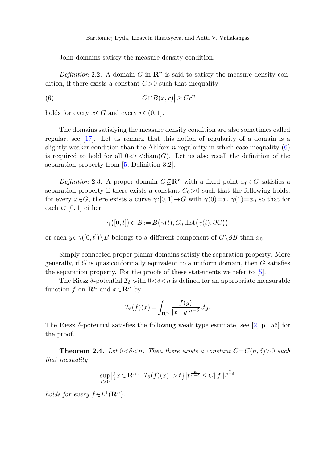<span id="page-3-0"></span>John domains satisfy the measure density condition.

<span id="page-3-1"></span>Definition 2.2. A domain G in  $\mathbb{R}^n$  is said to satisfy the measure density condition, if there exists a constant  $C>0$  such that inequality

(6) 
$$
|G \cap B(x,r)| \ge Cr^n
$$

holds for every  $x \in G$  and every  $r \in (0, 1]$ .

The domains satisfying the measure density condition are also sometimes called regular; see [\[17](#page-17-1)]. Let us remark that this notion of regularity of a domain is a slightly weaker condition than the Ahlfors  $n$ -regularity in which case inequality  $(6)$  $(6)$ is required to hold for all  $0 < r < \text{diam}(G)$ . Let us also recall the definition of the separation property from [[5,](#page-16-4) Definition 3.2].

Definition 2.3. A proper domain  $G\subseteq \mathbb{R}^n$  with a fixed point  $x_0\in G$  satisfies a separation property if there exists a constant  $C_0>0$  such that the following holds: for every  $x \in G$ , there exists a curve  $\gamma:[0,1] \to G$  with  $\gamma(0)=x$ ,  $\gamma(1)=x_0$  so that for each  $t \in [0, 1]$  either

$$
\gamma([0,t]) \subset B := B(\gamma(t), C_0 \text{ dist}(\gamma(t), \partial G))
$$

or each  $y \in \gamma([0, t])\setminus \overline{B}$  belongs to a different component of  $G\setminus \partial B$  than  $x_0$ .

Simply connected proper planar domains satisfy the separation property. More generally, if  $G$  is quasiconformally equivalent to a uniform domain, then  $G$  satisfies the separation property. For the proofs of these statements we refer to [[5\]](#page-16-4).

<span id="page-3-2"></span>The Riesz  $\delta$ -potential  $\mathcal{I}_{\delta}$  with  $0<\delta<\infty$  is defined for an appropriate measurable function f on  $\mathbb{R}^n$  and  $x \in \mathbb{R}^n$  by

$$
\mathcal{I}_{\delta}(f)(x) = \int_{\mathbf{R}^n} \frac{f(y)}{|x - y|^{n - \delta}} \, dy.
$$

The Riesz  $\delta$ -potential satisfies the following weak type estimate, see [[2,](#page-16-11) p. 56] for the proof.

**Theorem 2.4.** Let  $0 < \delta < n$ . Then there exists a constant  $C = C(n, \delta) > 0$  such that inequality

$$
\sup_{t>0} \left| \left\{ x \in \mathbf{R}^n : \left| \mathcal{I}_{\delta}(f)(x) \right| > t \right\} \right| t^{\frac{n}{n-\delta}} \le C \| f \|_1^{\frac{n}{n-\delta}}
$$

holds for every  $f \in L^1(\mathbf{R}^n)$ .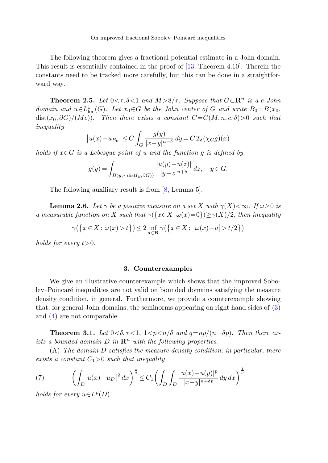<span id="page-4-4"></span>The following theorem gives a fractional potential estimate in a John domain. This result is essentially contained in the proof of [\[13](#page-16-8), Theorem 4.10]. Therein the constants need to be tracked more carefully, but this can be done in a straightforward way.

**Theorem 2.5.** Let  $0 \leq \tau, \delta \leq 1$  and  $M > 8/\tau$ . Suppose that  $G \subset \mathbb{R}^n$  is a c-John domain and  $u \in L^1_{loc}(G)$ . Let  $x_0 \in G$  be the John center of G and write  $B_0 = B(x_0,$  $dist(x_0, \partial G)/(Mc))$ . Then there exists a constant  $C=C(M, n, c, \delta)>0$  such that inequality

$$
|u(x) - u_{B_0}| \le C \int_G \frac{g(y)}{|x - y|^{n - \delta}} dy = C \mathcal{I}_{\delta}(\chi_G g)(x)
$$

<span id="page-4-3"></span>holds if  $x \in G$  is a Lebesque point of u and the function q is defined by

$$
g(y) = \int_{B(y,\tau \text{ dist}(y,\partial G))} \frac{|u(y) - u(z)|}{|y - z|^{n + \delta}} dz, \quad y \in G.
$$

The following auxiliary result is from [\[8](#page-16-2), Lemma 5].

<span id="page-4-0"></span>**Lemma 2.6.** Let  $\gamma$  be a positive measure on a set X with  $\gamma(X) < \infty$ . If  $\omega \geq 0$  is a measurable function on X such that  $\gamma({x \in X : \omega(x)=0}) \geq \gamma(X)/2$ , then inequality

 $\gamma\big(\big\{x \in X : \omega(x) > t\big\}\big) \leq 2 \inf_{a \in \mathbf{R}} \gamma\big(\big\{x \in X : |\omega(x) - a| > t/2\big\}\big)$ 

holds for every  $t>0$ .

## **3. Counterexamples**

<span id="page-4-1"></span>We give an illustrative counterexample which shows that the improved Sobolev–Poincar´e inequalities are not valid on bounded domains satisfying the measure density condition, in general. Furthermore, we provide a counterexample showing that, for general John domains, the seminorms appearing on right hand sides of ([3\)](#page-1-0) and ([4\)](#page-1-1) are not comparable.

<span id="page-4-2"></span>**Theorem 3.1.** Let  $0 < \delta, \tau < 1, 1 < p < n/\delta$  and  $q = np/(n - \delta p)$ . Then there exists a bounded domain  $D$  in  $\mathbb{R}^n$  with the following properties.

(A) The domain D satisfies the measure density condition; in particular, there exists a constant  $C_1>0$  such that inequality

(7) 
$$
\left(\int_D |u(x) - u_D|^q dx\right)^{\frac{1}{q}} \le C_1 \left(\int_D \int_D \frac{|u(x) - u(y)|^p}{|x - y|^{n + \delta p}} dy dx\right)^{\frac{1}{p}}
$$

holds for every  $u\in L^p(D)$ .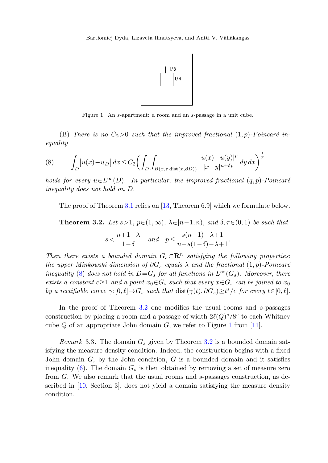

Figure 1. An s-apartment: a room and an s-passage in a unit cube.

<span id="page-5-2"></span><span id="page-5-0"></span>(B) There is no  $C_2>0$  such that the improved fractional  $(1, p)$ -Poincaré inequality

<span id="page-5-1"></span>(8) 
$$
\int_D \left| u(x) - u_D \right| dx \leq C_2 \left( \int_D \int_{B(x, \tau \text{ dist}(x, \partial D))} \frac{|u(x) - u(y)|^p}{|x - y|^{n + \delta p}} dy dx \right)^{\frac{1}{p}}
$$

holds for every  $u \in L^{\infty}(D)$ . In particular, the improved fractional  $(q, p)$ -Poincaré inequality does not hold on D.

The proof of Theorem [3.1](#page-4-1) relies on [\[13](#page-16-8), Theorem 6.9] which we formulate below.

**Theorem 3.2.** Let  $s > 1$ ,  $p \in (1, \infty)$ ,  $\lambda \in [n-1, n)$ , and  $\delta, \tau \in (0, 1)$  be such that

$$
s < \frac{n+1-\lambda}{1-\delta} \quad \text{and} \quad p \le \frac{s(n-1)-\lambda+1}{n-s(1-\delta)-\lambda+1}.
$$

<span id="page-5-3"></span>Then there exists a bounded domain  $G_s \subset \mathbb{R}^n$  satisfying the following properties: the upper Minkowski dimension of  $\partial G_s$  equals  $\lambda$  and the fractional  $(1, p)$ -Poincaré inequality [\(8](#page-5-0)) does not hold in  $D=G_s$  for all functions in  $L^{\infty}(G_s)$ . Moreover, there exists a constant  $c \geq 1$  and a point  $x_0 \in G_s$  such that every  $x \in G_s$  can be joined to  $x_0$ by a rectifiable curve  $\gamma:[0,\ell]{\,\rightarrow\,} G_s$  such that  $\text{dist}(\gamma(t),\partial G_s) {\geq} t^s/c$  for every  $t{\in}[0,\ell]$ .

In the proof of Theorem [3.2](#page-5-1) one modifies the usual rooms and s-passages construction by placing a room and a passage of width  $2\ell(Q)^s/8^s$  to each Whitney cube Q of an appropriate John domain  $G$ , we refer to Figure [1](#page-5-2) from [\[11](#page-16-12)].

Remark 3.3. The domain  $G_s$  given by Theorem [3.2](#page-5-1) is a bounded domain satisfying the measure density condition. Indeed, the construction begins with a fixed John domain  $G$ ; by the John condition,  $G$  is a bounded domain and it satisfies inequality ([6\)](#page-3-1). The domain  $G_s$  is then obtained by removing a set of measure zero from G. We also remark that the usual rooms and s-passages construction, as described in [\[10](#page-16-13), Section 3], does not yield a domain satisfying the measure density condition.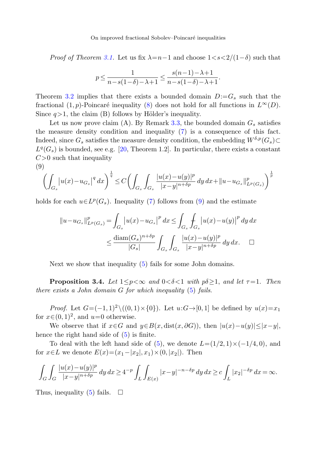*Proof of Theorem [3.1](#page-4-1).* Let us fix  $\lambda = n-1$  and choose  $1 \lt s \lt 2/(1-\delta)$  such that

$$
p \le \frac{1}{n - s(1 - \delta) - \lambda + 1} \le \frac{s(n - 1) - \lambda + 1}{n - s(1 - \delta) - \lambda + 1}.
$$

<span id="page-6-1"></span>Theorem [3.2](#page-5-1) implies that there exists a bounded domain  $D:=G_s$  such that the fractional (1, p)-Poincaré inequality [\(8](#page-5-0)) does not hold for all functions in  $L^{\infty}(D)$ . Since  $q>1$ , the claim (B) follows by Hölder's inequality.

Let us now prove claim (A). By Remark [3.3](#page-5-3), the bounded domain  $G_s$  satisfies the measure density condition and inequality ([7\)](#page-4-2) is a consequence of this fact. Indeed, since  $G_s$  satisfies the measure density condition, the embedding  $W^{\delta,p}(G_s) \subset$  $L^q(G_s)$  is bounded, see e.g. [\[20](#page-17-2), Theorem 1.2]. In particular, there exists a constant  $C>0$  such that inequality (9)

$$
\left(\int_{G_s} \left|u(x) - u_{G_s}\right|^q dx\right)^{\frac{1}{q}} \le C \biggl(\int_{G_s} \int_{G_s} \frac{|u(x) - u(y)|^p}{|x - y|^{n + \delta p}} \, dy \, dx + \|u - u_{G_s}\|_{L^p(G_s)}^p\biggr)^{\frac{1}{p}}
$$

holds for each  $u\in L^p(G_s)$ . Inequality [\(7](#page-4-2)) follows from ([9\)](#page-6-1) and the estimate

<span id="page-6-0"></span>
$$
||u - u_{G_s}||_{L^p(G_s)}^p = \int_{G_s} |u(x) - u_{G_s}|^p dx \le \int_{G_s} \int_{G_s} |u(x) - u(y)|^p dy dx
$$
  

$$
\le \frac{\text{diam}(G_s)^{n + \delta p}}{|G_s|} \int_{G_s} \int_{G_s} \frac{|u(x) - u(y)|^p}{|x - y|^{n + \delta p}} dy dx. \quad \Box
$$

Next we show that inequality [\(5](#page-2-1)) fails for some John domains.

**Proposition 3.4.** Let  $1 \leq p < \infty$  and  $0 < \delta < 1$  with  $p\delta \geq 1$ , and let  $\tau = 1$ . Then there exists a John domain G for which inequality ([5\)](#page-2-1) fails.

*Proof.* Let  $G=(-1,1)^2 \setminus ((0,1) \times \{0\})$ . Let  $u:G \rightarrow [0,1]$  be defined by  $u(x)=x_1$ for  $x \in (0, 1)^2$ , and  $u=0$  otherwise.

We observe that if  $x \in G$  and  $y \in B(x, dist(x, \partial G))$ , then  $|u(x)-u(y)| \leq |x-y|$ , hence the right hand side of [\(5](#page-2-1)) is finite.

To deal with the left hand side of [\(5](#page-2-1)), we denote  $L=(1/2, 1) \times (-1/4, 0)$ , and for  $x \in L$  we denote  $E(x) = (x_1 - |x_2|, x_1) \times (0, |x_2|)$ . Then

$$
\int_G \int_G \frac{|u(x)-u(y)|^p}{|x-y|^{n+\delta p}} dy \, dx \ge 4^{-p} \int_L \int_{E(x)} |x-y|^{-n-\delta p} dy \, dx \ge c \int_L |x_2|^{-\delta p} dx = \infty.
$$

Thus, inequality ([5\)](#page-2-1) fails.  $\Box$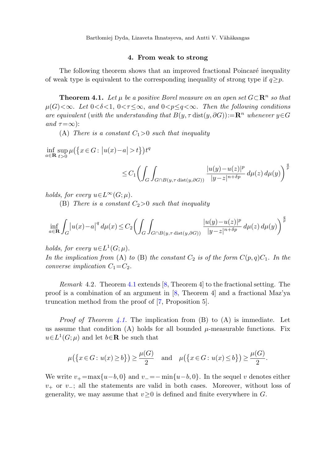<span id="page-7-0"></span>Bartłomiej Dyda, Lizaveta Ihnatsyeva, and Antti V. Vähäkangas

# **4. From weak to strong**

The following theorem shows that an improved fractional Poincaré inequality of weak type is equivalent to the corresponding inequality of strong type if  $q \geq p$ .

**Theorem 4.1.** Let  $\mu$  be a positive Borel measure on an open set  $G \subset \mathbb{R}^n$  so that  $\mu(G) \leq \infty$ . Let  $0 \leq \delta \leq 1$ ,  $0 \leq \tau \leq \infty$ , and  $0 \leq p \leq q \leq \infty$ . Then the following conditions are equivalent (with the understanding that  $B(y, \tau \text{ dist}(y, \partial G)) := \mathbb{R}^n$  whenever  $y \in G$ and  $\tau = \infty$ :

(A) There is a constant  $C_1>0$  such that inequality

 $\inf_{a \in \mathbf{R}} \sup_{t>0} \mu(\{x \in G : |u(x)-a| > t\}) t^q$ 

$$
\leq C_1 \left( \int_G \int_{G \cap B(y,\tau \text{ dist}(y,\partial G))} \frac{|u(y) - u(z)|^p}{|y - z|^{n + \delta p}} \, d\mu(z) \, d\mu(y) \right)^{\frac{q}{p}}
$$

holds, for every  $u\in L^{\infty}(G;\mu)$ .

(B) There is a constant  $C_2>0$  such that inequality

$$
\inf_{a\in\mathbf{R}} \int_G |u(x)-a|^q \, d\mu(x) \le C_2 \left( \int_G \int_{G \cap B(y,\tau \text{ dist}(y,\partial G))} \frac{|u(y)-u(z)|^p}{|y-z|^{n+\delta p}} \, d\mu(z) \, d\mu(y) \right)^{\frac{q}{p}}
$$

holds, for every  $u \in L^1(G; \mu)$ .

In the implication from (A) to (B) the constant  $C_2$  is of the form  $C(p,q)C_1$ . In the converse implication  $C_1 = C_2$ .

Remark 4.2. Theorem [4.1](#page-7-0) extends [[8,](#page-16-2) Theorem 4] to the fractional setting. The proof is a combination of an argument in [[8,](#page-16-2) Theorem 4] and a fractional Maz'ya truncation method from the proof of [\[7](#page-16-9), Proposition 5].

*Proof of Theorem [4.1.](#page-7-0)* The implication from  $(B)$  to  $(A)$  is immediate. Let us assume that condition (A) holds for all bounded  $\mu$ -measurable functions. Fix  $u\in L^1(G;\mu)$  and let  $b\in\mathbf{R}$  be such that

$$
\mu\big(\big\{x\in G\colon u(x)\geq b\big\}\big)\geq \frac{\mu(G)}{2}\quad\text{and}\quad \mu\big(\big\{x\in G\colon u(x)\leq b\big\}\big)\geq \frac{\mu(G)}{2}.
$$

We write  $v_{+} = \max\{u-b, 0\}$  and  $v_{-} = -\min\{u-b, 0\}$ . In the sequel v denotes either  $v_{+}$  or  $v_{-}$ ; all the statements are valid in both cases. Moreover, without loss of generality, we may assume that  $v \geq 0$  is defined and finite everywhere in G.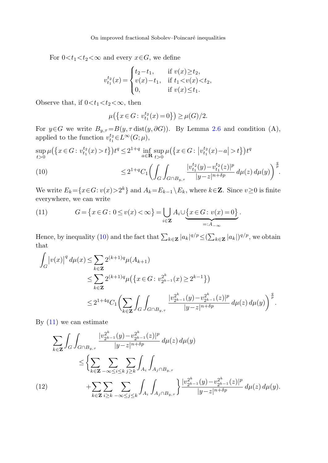For  $0 < t_1 < t_2 < \infty$  and every  $x \in G$ , we define

$$
v_{t_1}^{t_2}(x) = \begin{cases} t_2 - t_1, & \text{if } v(x) \ge t_2, \\ v(x) - t_1, & \text{if } t_1 < v(x) < t_2, \\ 0, & \text{if } v(x) \le t_1. \end{cases}
$$

<span id="page-8-0"></span>Observe that, if  $0 < t_1 < t_2 < \infty$ , then

$$
\mu\big(\big\{x\in G\colon v^{t_2}_{t_1}(x)=0\big\}\big)\ge \mu(G)/2.
$$

For  $y \in G$  we write  $B_{y,\tau} = B(y,\tau \text{ dist}(y,\partial G))$ . By Lemma [2.6](#page-4-3) and condition (A), applied to the function  $v_{t_1}^{t_2} \in L^{\infty}(G; \mu)$ ,

<span id="page-8-1"></span> $\sup_{t>0} \mu(\left\{x \in G : v_{t_1}^{t_2}(x) > t\right\}) t^q \leq 2^{1+q} \inf_{a \in \mathbf{R}} \sup_{t>0} \mu(\left\{x \in G : |v_{t_1}^{t_2}(x) - a| > t\right\}) t^q$ 

(10) 
$$
\leq 2^{1+q} C_1 \left( \int_G \int_{G \cap B_{y,\tau}} \frac{|v_{t_1}^{t_2}(y) - v_{t_1}^{t_2}(z)|^p}{|y - z|^{n+\delta p}} d\mu(z) d\mu(y) \right)^{\frac{q}{p}}.
$$

We write  $E_k = \{x \in G: v(x) > 2^k\}$  and  $A_k = E_{k-1} \setminus E_k$ , where  $k \in \mathbb{Z}$ . Since  $v \ge 0$  is finite everywhere, we can write

(11) 
$$
G = \{x \in G : 0 \le v(x) < \infty\} = \bigcup_{i \in \mathbf{Z}} A_i \cup \underbrace{\{x \in G : v(x) = 0\}}_{=:A_{-\infty}}.
$$

Hence, by inequality [\(10](#page-8-0)) and the fact that  $\sum_{k \in \mathbf{Z}} |a_k|^{q/p} \leq (\sum_{k \in \mathbf{Z}} |a_k|)^{q/p}$ , we obtain that

$$
\int_G |v(x)|^q d\mu(x) \le \sum_{k \in \mathbf{Z}} 2^{(k+1)q} \mu(A_{k+1})
$$
\n
$$
\le \sum_{k \in \mathbf{Z}} 2^{(k+1)q} \mu\left(\left\{x \in G : v_{2^{k-1}}^{2^k}(x) \ge 2^{k-1}\right\}\right)
$$
\n
$$
\le 2^{1+4q} C_1 \left(\sum_{k \in \mathbf{Z}} \int_G \int_{G \cap B_{y,\tau}} \frac{|v_{2^{k-1}}^{2^k}(y) - v_{2^{k-1}}^{2^k}(z)|^p}{|y - z|^{n+\delta p}} d\mu(z) d\mu(y)\right)^{\frac{q}{p}}.
$$

By  $(11)$  $(11)$  we can estimate

<span id="page-8-2"></span>
$$
\sum_{k \in \mathbf{Z}} \int_{G} \int_{G \cap B_{y,\tau}} \frac{|v_{2^{k-1}}^{2^{k}}(y) - v_{2^{k-1}}^{2^{k}}(z)|^{p}}{|y - z|^{n + \delta p}} d\mu(z) d\mu(y) \n\leq \left\{ \sum_{k \in \mathbf{Z}} \sum_{-\infty \leq i \leq k} \sum_{j \geq k} \int_{A_{i}} \int_{A_{j} \cap B_{y,\tau}} \right. \n(12) \qquad \qquad + \sum_{k \in \mathbf{Z}} \sum_{i \geq k} \sum_{-\infty \leq j \leq k} \int_{A_{i}} \int_{A_{j} \cap B_{y,\tau}} \frac{|v_{2^{k-1}}^{2^{k}}(y) - v_{2^{k-1}}^{2^{k}}(z)|^{p}}{|y - z|^{n + \delta p}} d\mu(z) d\mu(y).
$$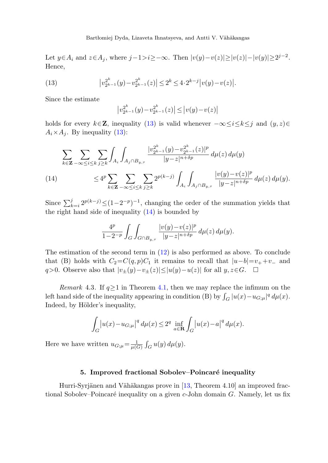<span id="page-9-1"></span>Let  $y \in A_i$  and  $z \in A_j$ , where  $j-1>i \geq -\infty$ . Then  $|v(y)-v(z)| \geq |v(z)|-|v(y)| \geq 2^{j-2}$ . Hence,

(13) 
$$
\left|v_{2^{k-1}}^{2^k}(y)-v_{2^{k-1}}^{2^k}(z)\right| \leq 2^k \leq 4 \cdot 2^{k-j} \left|v(y)-v(z)\right|.
$$

Since the estimate

<span id="page-9-2"></span>
$$
\left|v_{2^{k-1}}^{2^k}(y)-v_{2^{k-1}}^{2^k}(z)\right| \le \left|v(y)-v(z)\right|
$$

holds for every  $k \in \mathbb{Z}$ , inequality ([13\)](#page-9-1) is valid whenever  $-\infty \le i \le k \le j$  and  $(y, z) \in$  $A_i \times A_j$ . By inequality [\(13](#page-9-1)):

$$
\sum_{k \in \mathbf{Z}} \sum_{-\infty \le i \le k} \sum_{j \ge k} \int_{A_i} \int_{A_j \cap B_{y,\tau}} \frac{|v_{2^{k-1}}^{2^k}(y) - v_{2^{k-1}}^{2^k}(z)|^p}{|y - z|^{n+\delta p}} d\mu(z) d\mu(y)
$$
\n(14)\n
$$
\leq 4^p \sum_{k \in \mathbf{Z}} \sum_{-\infty \le i \le k} \sum_{j \ge k} 2^{p(k-j)} \int_{A_i} \int_{A_j \cap B_{y,\tau}} \frac{|v(y) - v(z)|^p}{|y - z|^{n+\delta p}} d\mu(z) d\mu(y).
$$

<span id="page-9-3"></span>Since  $\sum_{k=i}^{j} 2^{p(k-j)} \leq (1-2^{-p})^{-1}$ , changing the order of the summation yields that the right hand side of inequality  $(14)$  $(14)$  is bounded by

$$
\frac{4^p}{1-2^{-p}} \int_G \int_{G \cap B_{y,\tau}} \frac{|v(y)-v(z)|^p}{|y-z|^{n+\delta p}} \, d\mu(z) \, d\mu(y).
$$

The estimation of the second term in  $(12)$  $(12)$  is also performed as above. To conclude that (B) holds with  $C_2=C(q, p)C_1$  it remains to recall that  $|u-b|=v_+ +v_-$  and q>0. Observe also that  $|v_{\pm}(y)-v_{\pm}(z)| \le |u(y)-u(z)|$  for all  $y, z \in G$ .  $\Box$ 

*Remark* 4.3. If  $q \ge 1$  in Theorem [4.1,](#page-7-0) then we may replace the infimum on the left hand side of the inequality appearing in condition (B) by  $\int_G |u(x) - u_{G,\mu}|^q d\mu(x)$ . Indeed, by Hölder's inequality,

$$
\int_{G} |u(x) - u_{G;\mu}|^{q} d\mu(x) \le 2^{q} \inf_{a \in \mathbf{R}} \int_{G} |u(x) - a|^{q} d\mu(x).
$$

<span id="page-9-0"></span>Here we have written  $u_{G;\mu} = \frac{1}{\mu(G)} \int_G u(y) d\mu(y)$ .

## **5. Improved fractional Sobolev–Poincaré inequality**

Hurri-Syrjänen and Vähäkangas prove in [[13,](#page-16-8) Theorem  $4.10$ ] an improved fractional Sobolev–Poincaré inequality on a given  $c$ -John domain G. Namely, let us fix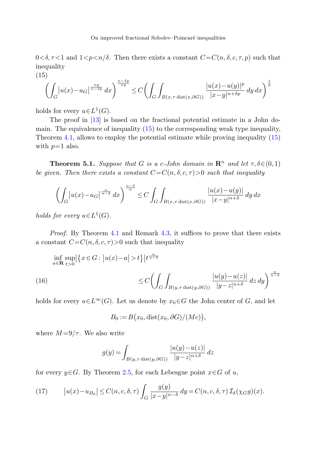<span id="page-10-0"></span> $0 < \delta, \tau < 1$  and  $1 < p < n/\delta$ . Then there exists a constant  $C = C(n, \delta, c, \tau, p)$  such that inequality

(15)  

$$
\left(\int_G |u(x) - u_G|^\frac{n}{n-\delta p} dx\right)^\frac{n-\delta p}{np} \le C \left(\int_G \int_{B(x,\tau \operatorname{dist}(x,\partial G))} \frac{|u(x) - u(y)|^p}{|x - y|^{n+\delta p}} dy dx\right)^\frac{1}{p}
$$

holds for every  $u\in L^1(G)$ .

The proof in [[13\]](#page-16-8) is based on the fractional potential estimate in a John domain. The equivalence of inequality [\(15](#page-10-0)) to the corresponding weak type inequality, Theorem [4.1](#page-7-0), allows to employ the potential estimate while proving inequality ([15\)](#page-10-0) with  $p=1$  also.

**Theorem 5.1.** Suppose that G is a c-John domain in  $\mathbb{R}^n$  and let  $\tau, \delta \in (0, 1)$ be given. Then there exists a constant  $C=C(n, \delta, c, \tau) > 0$  such that inequality

$$
\left(\int_G \left|u(x) - u_G\right|^{\frac{n}{n-\delta}} dx\right)^{\frac{n-\delta}{n}} \le C \int_G \int_{B(x,\tau \text{ dist}(x,\partial G))} \frac{|u(x) - u(y)|}{|x - y|^{n+\delta}} dy dx
$$

holds for every  $u \in L^1(G)$ .

Proof. By Theorem [4.1](#page-7-0) and Remark [4.3](#page-9-3), it suffices to prove that there exists a constant  $C=C(n, \delta, c, \tau)$  such that inequality

$$
\inf_{a \in \mathbf{R}} \sup_{t>0} \left| \left\{ x \in G : \left| u(x) - a \right| > t \right\} \middle| t^{\frac{n}{n-\delta}} \right\}
$$
\n
$$
\leq C \left( \int_G \int_{B(y,\tau \operatorname{dist}(y,\partial G))} \frac{|u(y) - u(z)|}{|y - z|^{n+\delta}} \, dz \, dy \right)^{\frac{n}{n-\delta}}
$$

holds for every  $u\in L^{\infty}(G)$ . Let us denote by  $x_0\in G$  the John center of G, and let

<span id="page-10-2"></span>
$$
B_0 := B(x_0, \text{dist}(x_0, \partial G)/(Mc)),
$$

<span id="page-10-1"></span>where  $M = 9/\tau$ . We also write

$$
g(y) = \int_{B(y,\tau \text{ dist}(y,\partial G))} \frac{|u(y) - u(z)|}{|y - z|^{n + \delta}} dz
$$

for every  $y \in G$ . By Theorem [2.5,](#page-4-4) for each Lebesgue point  $x \in G$  of u,

(17) 
$$
\left| u(x) - u_{B_0} \right| \le C(n, c, \delta, \tau) \int_G \frac{g(y)}{|x - y|^{n - \delta}} dy = C(n, c, \delta, \tau) \mathcal{I}_{\delta}(\chi_G g)(x).
$$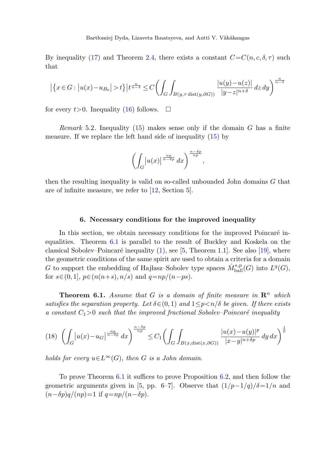By inequality ([17\)](#page-10-1) and Theorem [2.4,](#page-3-2) there exists a constant  $C=C(n, c, \delta, \tau)$  such that

$$
\left|\left\{x\in G\colon \left|u(x)-u_{B_0}\right|>t\right\}\right|t^{\frac{n}{n-\delta}}\leq C\Biggl(\int_G\int_{B(y,\tau\,\mathrm{dist}(y,\partial G))}\frac{|u(y)-u(z)|}{|y-z|^{n+\delta}}\,dz\,dy\Biggr)^{\frac{n}{n-\delta}}
$$

for every  $t > 0$ . Inequality [\(16](#page-10-2)) follows.  $\Box$ 

*Remark* 5.2. Inequality ([15\)](#page-10-0) makes sense only if the domain G has a finite measure. If we replace the left hand side of inequality ([15\)](#page-10-0) by

$$
\left(\int_G |u(x)|^{\frac{np}{n-\delta p}} dx\right)^{\frac{n-\delta p}{np}},
$$

<span id="page-11-0"></span>then the resulting inequality is valid on so-called unbounded John domains G that are of infinite measure, we refer to [[12,](#page-16-14) Section 5].

## **6. Necessary conditions for the improved inequality**

<span id="page-11-1"></span>In this section, we obtain necessary conditions for the improved Poincaré inequalities. Theorem [6.1](#page-11-1) is parallel to the result of Buckley and Koskela on the classical Sobolev–Poincaré inequality  $(1)$  $(1)$ , see [\[5](#page-16-4), Theorem 1.1]. See also [[19\]](#page-17-3), where the geometric conditions of the same spirit are used to obtain a criteria for a domain G to support the embedding of Hajlasz–Sobolev type spaces  $\dot{M}_{\mathop{\rm ball}}^{s,p}(G)$  into  $L^q(G)$ , for  $s \in (0, 1]$ ,  $p \in (n(n+s), n/s)$  and  $q = np/(n-ps)$ .

**Theorem 6.1.** Assume that G is a domain of finite measure in  $\mathbb{R}^n$  which satisfies the separation property. Let  $\delta \in (0,1)$  and  $1 \leq p \leq n/\delta$  be given. If there exists a constant  $C_1>0$  such that the improved fractional Sobolev–Poincaré inequality

$$
(18)\ \left(\int_G |u(x) - u_G|^\frac{np}{n-\delta p} dx\right)^\frac{n-\delta p}{np} \le C_1 \left(\int_G \int_{B(x, \text{dist}(x, \partial G))} \frac{|u(x) - u(y)|^p}{|x - y|^{n+\delta p}} dy dx\right)^\frac{1}{p}
$$

holds for every  $u \in L^{\infty}(G)$ , then G is a John domain.

To prove Theorem [6.1](#page-11-1) it suffices to prove Proposition [6.2,](#page-12-0) and then follow the geometric arguments given in [\[5](#page-16-4), pp. 6–7]. Observe that  $\frac{1}{p-1/q}$   $\delta = \frac{1}{n}$  and  $(n-\delta p)q/(np)=1$  if  $q=np/(n-\delta p)$ .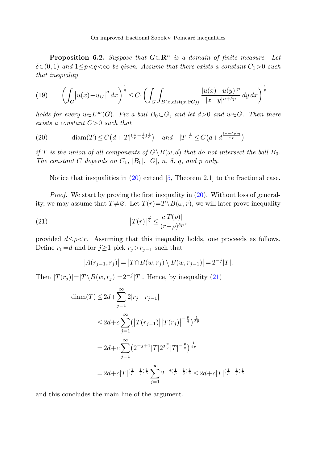<span id="page-12-3"></span><span id="page-12-0"></span>**Proposition 6.2.** Suppose that  $G \subset \mathbb{R}^n$  is a domain of finite measure. Let  $\delta \in (0, 1)$  and  $1 \leq p \leq q \leq \infty$  be given. Assume that there exists a constant  $C_1 > 0$  such that inequality

<span id="page-12-1"></span>(19) 
$$
\left(\int_G |u(x) - u_G|^q dx\right)^{\frac{1}{q}} \le C_1 \left(\int_G \int_{B(x, \text{dist}(x, \partial G))} \frac{|u(x) - u(y)|^p}{|x - y|^{n + \delta p}} dy dx\right)^{\frac{1}{p}}
$$

holds for every  $u\in L^{\infty}(G)$ . Fix a ball  $B_0\subset G$ , and let  $d>0$  and  $w\in G$ . Then there exists a constant  $C>0$  such that

(20) 
$$
\text{diam}(T) \le C\left(d + |T|^{\left(\frac{1}{p} - \frac{1}{q}\right)\frac{1}{\delta}}\right)
$$
 and  $|T|^{\frac{1}{n}} \le C\left(d + d^{\frac{(n-\delta p)q}{np}}\right)$ 

<span id="page-12-2"></span>if T is the union of all components of  $G\backslash B(\omega, d)$  that do not intersect the ball  $B_0$ . The constant C depends on  $C_1$ ,  $|B_0|$ ,  $|G|$ ,  $n$ ,  $\delta$ ,  $q$ , and  $p$  only.

Notice that inequalities in  $(20)$  $(20)$  extend [[5,](#page-16-4) Theorem 2.1] to the fractional case.

Proof. We start by proving the first inequality in  $(20)$  $(20)$ . Without loss of generality, we may assume that  $T \neq \emptyset$ . Let  $T(r) = T \setminus B(\omega, r)$ , we will later prove inequality

(21) 
$$
\left|T(r)\right|^{\frac{p}{q}} \leq \frac{c|T(\rho)|}{(r-\rho)^{\delta p}},
$$

provided  $d \leq \rho \lt r$ . Assuming that this inequality holds, one proceeds as follows. Define  $r_0=d$  and for  $j\geq 1$  pick  $r_j>r_{j-1}$  such that

$$
|A(r_{j-1}, r_j)| = |T \cap B(w, r_j) \setminus B(w, r_{j-1})| = 2^{-j} |T|.
$$

Then  $|T(r_j)|=|T\setminus B(w,r_j)|=2^{-j}|T|$ . Hence, by inequality [\(21](#page-12-2))

$$
\begin{aligned}\n\text{diam}(T) &\le 2d + \sum_{j=1}^{\infty} 2|r_j - r_{j-1}| \\
&\le 2d + c \sum_{j=1}^{\infty} \left( \left| T(r_{j-1}) \right| \left| T(r_j) \right|^{-\frac{p}{q}} \right)^{\frac{1}{dp}} \\
&= 2d + c \sum_{j=1}^{\infty} \left( 2^{-j+1} |T| 2^{j\frac{p}{q}} |T|^{-\frac{p}{q}} \right)^{\frac{1}{dp}} \\
&= 2d + c |T|^{\left(\frac{1}{p} - \frac{1}{q}\right)\frac{1}{\delta}} \sum_{j=1}^{\infty} 2^{-j\left(\frac{1}{p} - \frac{1}{q}\right)\frac{1}{\delta}} \le 2d + c |T|^{\left(\frac{1}{p} - \frac{1}{q}\right)\frac{1}{\delta}}\n\end{aligned}
$$

and this concludes the main line of the argument.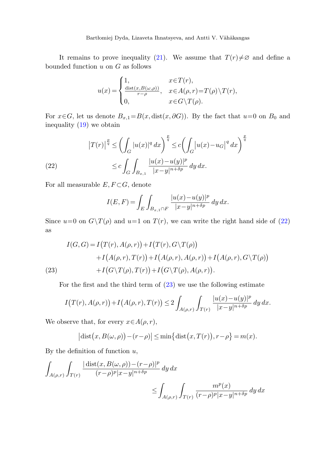It remains to prove inequality ([21\)](#page-12-2). We assume that  $T(r) \neq \emptyset$  and define a bounded function  $u$  on  $G$  as follows

$$
u(x) = \begin{cases} 1, & x \in T(r), \\ \frac{\text{dist}(x, B(\omega, \rho))}{r - \rho}, & x \in A(\rho, r) = T(\rho) \setminus T(r), \\ 0, & x \in G \setminus T(\rho). \end{cases}
$$

<span id="page-13-0"></span>For  $x \in G$ , let us denote  $B_{x,1} = B(x, dist(x, \partial G))$ . By the fact that  $u=0$  on  $B_0$  and inequality ([19\)](#page-12-3) we obtain

(22) 
$$
\left|T(r)\right|^{\frac{p}{q}} \leq \left(\int_{G} |u(x)|^{q} dx\right)^{\frac{p}{q}} \leq c \left(\int_{G} |u(x)-u_{G}|^{q} dx\right)^{\frac{p}{q}}
$$

$$
\leq c \int_{G} \int_{B_{x,1}} \frac{|u(x)-u(y)|^{p}}{|x-y|^{n+\delta p}} dy dx.
$$

For all measurable  $E, F \subset G$ , denote

$$
I(E, F) = \int_{E} \int_{B_{x,1} \cap F} \frac{|u(x) - u(y)|^{p}}{|x - y|^{n + \delta p}} dy dx.
$$

<span id="page-13-1"></span>Since  $u=0$  on  $G\setminus T(\rho)$  and  $u=1$  on  $T(r)$ , we can write the right hand side of ([22\)](#page-13-0) as

(23)  
\n
$$
I(G, G) = I(T(r), A(\rho, r)) + I(T(r), G\Upsilon(\rho))
$$
\n
$$
+ I(A(\rho, r), T(r)) + I(A(\rho, r), A(\rho, r)) + I(A(\rho, r), G\Upsilon(\rho))
$$
\n
$$
+ I(G\Upsilon(\rho), T(r)) + I(G\Upsilon(\rho), A(\rho, r)).
$$

For the first and the third term of  $(23)$  $(23)$  we use the following estimate

$$
I(T(r), A(\rho, r)) + I(A(\rho, r), T(r)) \le 2 \int_{A(\rho, r)} \int_{T(r)} \frac{|u(x) - u(y)|^p}{|x - y|^{n + \delta p}} dy dx.
$$

We observe that, for every  $x \in A(\rho, r)$ ,

$$
|\text{dist}(x, B(\omega, \rho)) - (r - \rho)| \le \min\{\text{dist}(x, T(r)), r - \rho\} = m(x).
$$

By the definition of function  $u$ ,

$$
\int_{A(\rho,r)} \int_{T(r)} \frac{|\operatorname{dist}(x, B(\omega, \rho)) - (r - \rho)|^p}{(r - \rho)^p |x - y|^{n + \delta p}} dy dx
$$
\n
$$
\leq \int_{A(\rho,r)} \int_{T(r)} \frac{m^p(x)}{(r - \rho)^p |x - y|^{n + \delta p}} dy dx
$$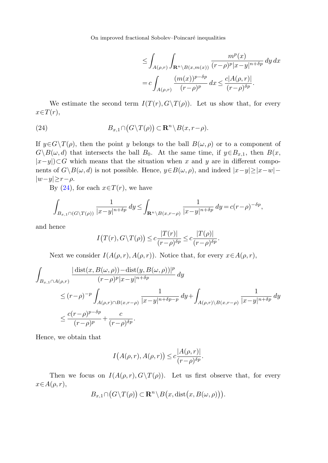On improved fractional Sobolev–Poincaré inequalities

$$
\leq \int_{A(\rho,r)} \int_{\mathbf{R}^n \backslash B(x,m(x))} \frac{m^p(x)}{(r-\rho)^p |x-y|^{n+\delta p}} dy dx
$$
  
= 
$$
c \int_{A(\rho,r)} \frac{(m(x))^{p-\delta p}}{(r-\rho)^p} dx \leq \frac{c |A(\rho,r)|}{(r-\rho)^{\delta p}}.
$$

<span id="page-14-0"></span>We estimate the second term  $I(T(r), G\Yeta)(\rho)$ . Let us show that, for every  $x \in T(r)$ ,

(24) 
$$
B_{x,1} \cap (G \setminus T(\rho)) \subset \mathbf{R}^n \setminus B(x,r-\rho).
$$

If  $y \in G \backslash T(\rho)$ , then the point y belongs to the ball  $B(\omega, \rho)$  or to a component of  $G\setminus B(\omega, d)$  that intersects the ball  $B_0$ . At the same time, if  $y \in B_{x,1}$ , then  $B(x, d)$  $|x-y|$ )⊂G which means that the situation when x and y are in different components of  $G\Bigr\setminus B(\omega, d)$  is not possible. Hence,  $y\in B(\omega, \rho)$ , and indeed  $|x-y|\geq |x-w| |w-y|\geq r-\rho$ .

By  $(24)$  $(24)$  $(24)$ , for each  $x \in T(r)$ , we have

$$
\int_{B_{x,1}\cap(G\backslash T(\rho))}\frac{1}{|x-y|^{n+\delta p}}\,dy\leq \int_{\mathbf{R}^n\backslash B(x,r-\rho)}\frac{1}{|x-y|^{n+\delta p}}\,dy=c(r-\rho)^{-\delta p},
$$

and hence

$$
I(T(r), G \setminus T(\rho)) \le c \frac{|T(r)|}{(r-\rho)^{\delta p}} \le c \frac{|T(\rho)|}{(r-\rho)^{\delta p}}.
$$

Next we consider  $I(A(\rho, r), A(\rho, r))$ . Notice that, for every  $x \in A(\rho, r)$ ,

$$
\int_{B_{x,1}\cap A(\rho,r)}\frac{|\operatorname{dist}(x,B(\omega,\rho))-\operatorname{dist}(y,B(\omega,\rho))|^p}{(r-\rho)^p|x-y|^{n+\delta p}}dy
$$
\n
$$
\leq (r-\rho)^{-p}\int_{A(\rho,r)\cap B(x,r-\rho)}\frac{1}{|x-y|^{n+\delta p-p}}dy+\int_{A(\rho,r)\setminus B(x,r-\rho)}\frac{1}{|x-y|^{n+\delta p}}dy
$$
\n
$$
\leq \frac{c(r-\rho)^{p-\delta p}}{(r-\rho)^p}+\frac{c}{(r-\rho)^{\delta p}}.
$$

Hence, we obtain that

$$
I(A(\rho,r), A(\rho,r)) \leq c \frac{|A(\rho,r)|}{(r-\rho)^{\delta p}}.
$$

Then we focus on  $I(A(\rho, r), G\backslash T(\rho))$ . Let us first observe that, for every  $x \in A(\rho, r),$ 

$$
B_{x,1} \cap (G \setminus T(\rho)) \subset \mathbf{R}^n \setminus B(x,\mathrm{dist}\big(x,B(\omega,\rho)\big)\big).
$$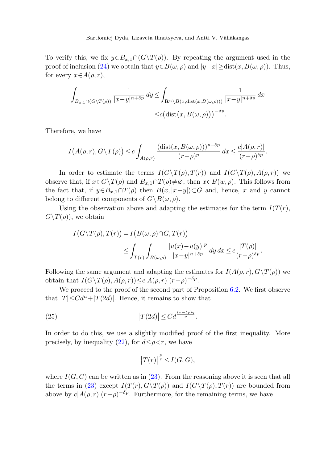To verify this, we fix  $y \in B_{x,1} \cap (G \setminus T(\rho))$ . By repeating the argument used in the proof of inclusion [\(24](#page-14-0)) we obtain that  $y \in B(\omega, \rho)$  and  $|y-x|>$ dist $(x, B(\omega, \rho))$ . Thus, for every  $x \in A(\rho, r)$ ,

$$
\int_{B_{x,1}\cap(G\backslash T(\rho))} \frac{1}{|x-y|^{n+\delta p}} dy \leq \int_{\mathbf{R}^n\backslash B(x,\text{dist}(x,B(\omega,\rho)))} \frac{1}{|x-y|^{n+\delta p}} dx
$$
  

$$
\leq c \big(\text{dist}\big(x,B(\omega,\rho)\big)\big)^{-\delta p}.
$$

Therefore, we have

$$
I(A(\rho,r),G\setminus T(\rho)) \le c \int_{A(\rho,r)} \frac{(\text{dist}(x,B(\omega,\rho)))^{p-\delta p}}{(r-\rho)^p} dx \le \frac{c|A(\rho,r)|}{(r-\rho)^{\delta p}}.
$$

In order to estimate the terms  $I(G\setminus T(\rho), T(r))$  and  $I(G\setminus T(\rho), A(\rho, r))$  we observe that, if  $x \in G \backslash T(\rho)$  and  $B_{x,1} \cap T(\rho) \neq \emptyset$ , then  $x \in B(w, \rho)$ . This follows from the fact that, if  $y \in B_{x,1} \cap T(\rho)$  then  $B(x, |x-y|) \subset G$  and, hence, x and y cannot belong to different components of  $G \ B(\omega, \rho)$ .

Using the observation above and adapting the estimates for the term  $I(T(r))$ ,  $G\backslash T(\rho)$ , we obtain

$$
I(G \setminus T(\rho), T(r)) = I(B(\omega, \rho) \cap G, T(r))
$$
  

$$
\leq \int_{T(r)} \int_{B(\omega, \rho)} \frac{|u(x) - u(y)|^p}{|x - y|^{n + \delta p}} dy dx \leq c \frac{|T(\rho)|}{(r - \rho)^{\delta p}}.
$$

<span id="page-15-0"></span>Following the same argument and adapting the estimates for  $I(A(\rho, r), G\setminus T(\rho))$  we obtain that  $I(G\setminus T(\rho), A(\rho, r)) \leq c|A(\rho, r)|(r-\rho)^{-\delta p}$ .

We proceed to the proof of the second part of Proposition [6.2.](#page-12-0) We first observe that  $|T| \leq C d^n + |T(2d)|$ . Hence, it remains to show that

(25) 
$$
\left|T(2d)\right| \leq Cd^{\frac{(n-\delta p)q}{p}}.
$$

In order to do this, we use a slightly modified proof of the first inequality. More precisely, by inequality [\(22](#page-13-0)), for  $d \leq \rho < r$ , we have

$$
\left|T(r)\right|^{\frac{p}{q}} \leq I(G, G),
$$

where  $I(G, G)$  can be written as in ([23\)](#page-13-1). From the reasoning above it is seen that all the terms in ([23\)](#page-13-1) except  $I(T(r), G\Upsilon(\rho))$  and  $I(G\Upsilon(\rho), T(r))$  are bounded from above by  $c|A(\rho, r)|(r-\rho)^{-\delta p}$ . Furthermore, for the remaining terms, we have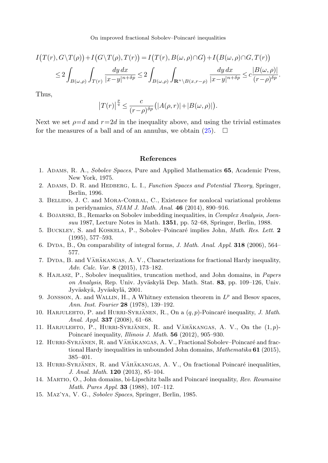On improved fractional Sobolev–Poincaré inequalities

$$
I(T(r), G \setminus T(\rho)) + I(G \setminus T(\rho), T(r)) = I(T(r), B(\omega, \rho) \cap G) + I(B(\omega, \rho) \cap G, T(r))
$$
  

$$
\leq 2 \int_{B(\omega, \rho)} \int_{T(r)} \frac{dy \, dx}{|x - y|^{n + \delta p}} \leq 2 \int_{B(\omega, \rho)} \int_{\mathbf{R}^n \setminus B(x, r - \rho)} \frac{dy \, dx}{|x - y|^{n + \delta p}} \leq c \frac{|B(\omega, \rho)|}{(r - \rho)^{\delta p}}.
$$

<span id="page-16-6"></span>Thus,

$$
\left|T(r)\right|^{\frac{p}{q}} \leq \frac{c}{(r-\rho)^{\delta p}}\left(|A(\rho,r)|+|B(\omega,\rho)|\right).
$$

<span id="page-16-11"></span><span id="page-16-7"></span>Next we set  $\rho=d$  and  $r=2d$  in the inequality above, and using the trivial estimates for the measures of a ball and of an annulus, we obtain  $(25)$  $(25)$ .  $\Box$ 

#### **References**

- <span id="page-16-4"></span><span id="page-16-1"></span>1. Adams, R. A., Sobolev Spaces, Pure and Applied Mathematics **65**, Academic Press, New York, 1975.
- <span id="page-16-10"></span>2. Adams, D. R. and Hedberg, L. I., Function Spaces and Potential Theory, Springer, Berlin, 1996.
- <span id="page-16-9"></span>3. Bellido, J. C. and Mora-Corral, C., Existence for nonlocal variational problems in peridynamics, SIAM J. Math. Anal. **46** (2014), 890–916.
- <span id="page-16-2"></span>4. Bojarski, B., Remarks on Sobolev imbedding inequalities, in Complex Analysis, Joensuu 1987, Lecture Notes in Math. **1351**, pp. 52–68, Springer, Berlin, 1988.
- <span id="page-16-5"></span>5. Buckley, S. and Koskela, P., Sobolev–Poincar´e implies John, Math. Res. Lett. **2** (1995), 577–593.
- <span id="page-16-13"></span>6. Dyda, B., On comparability of integral forms, J. Math. Anal. Appl. **318** (2006), 564– 577.
- <span id="page-16-12"></span>7. DYDA, B. and VÄHÄKANGAS, A. V., Characterizations for fractional Hardy inequality, Adv. Calc. Var. **8** (2015), 173–182.
- <span id="page-16-14"></span>8. HAJLASZ, P., Sobolev inequalities, truncation method, and John domains, in Papers on Analysis, Rep. Univ. Jyväskylä Dep. Math. Stat. 83, pp. 109–126, Univ. Jyväskyä, Jyväskylä, 2001.
- 9. JONSSON, A. and WALLIN, H., A Whitney extension theorem in  $L^p$  and Besov spaces, Ann. Inst. Fourier **28** (1978), 139–192.
- <span id="page-16-8"></span>10. HARJULEHTO, P. and HURRI-SYRJÄNEN, R., On a  $(q, p)$ -Poincaré inequality, J. Math. Anal. Appl. **337** (2008), 61–68.
- <span id="page-16-3"></span><span id="page-16-0"></span>11. HARJULEHTO, P., HURRI-SYRJÄNEN, R. and VÄHÄKANGAS, A. V., On the  $(1,p)$ -Poincaré inequality, *Illinois J. Math.* **56** (2012), 905–930.
- 12. HURRI-SYRJÄNEN, R. and VÄHÄKANGAS, A. V., Fractional Sobolev–Poincaré and fractional Hardy inequalities in unbounded John domains, Mathematika **61** (2015), 385–401.
- 13. HURRI-SYRJÄNEN, R. and VÄHÄKANGAS, A. V., On fractional Poincaré inequalities, J. Anal. Math. **120** (2013), 85–104.
- 14. MARTIO, O., John domains, bi-Lipschitz balls and Poincaré inequality, Rev. Roumaine Math. Pures Appl. **33** (1988), 107–112.
- 15. Maz'ya, V. G., Sobolev Spaces, Springer, Berlin, 1985.